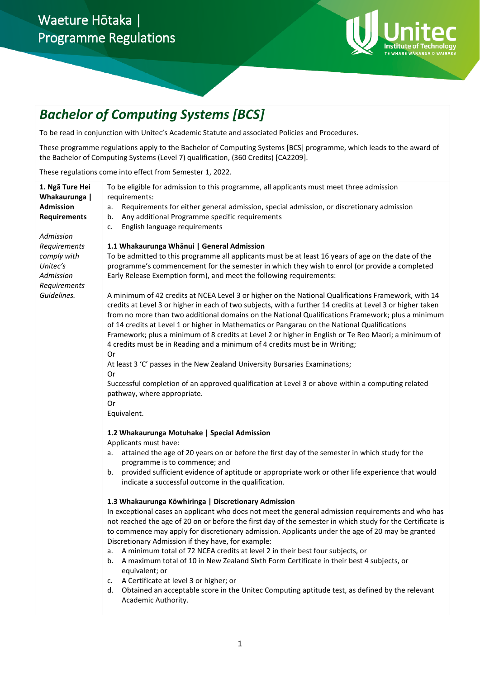## Waeture Hōtaka | Programme Regulations



# *Bachelor of Computing Systems [BCS]*

To be read in conjunction with Unitec's Academic Statute and associated Policies and Procedures.

These programme regulations apply to the Bachelor of Computing Systems [BCS] programme, which leads to the award of the Bachelor of Computing Systems (Level 7) qualification, (360 Credits) [CA2209].

These regulations come into effect from Semester 1, 2022.

| 1. Ngā Ture Hei     | To be eligible for admission to this programme, all applicants must meet three admission                   |
|---------------------|------------------------------------------------------------------------------------------------------------|
| Whakaurunga         | requirements:                                                                                              |
| <b>Admission</b>    | Requirements for either general admission, special admission, or discretionary admission<br>а.             |
| <b>Requirements</b> | Any additional Programme specific requirements<br>b.                                                       |
|                     | English language requirements<br>c.                                                                        |
| Admission           |                                                                                                            |
| Requirements        | 1.1 Whakaurunga Whānui   General Admission                                                                 |
| comply with         | To be admitted to this programme all applicants must be at least 16 years of age on the date of the        |
| Unitec's            | programme's commencement for the semester in which they wish to enrol (or provide a completed              |
| Admission           | Early Release Exemption form), and meet the following requirements:                                        |
| Requirements        |                                                                                                            |
| Guidelines.         | A minimum of 42 credits at NCEA Level 3 or higher on the National Qualifications Framework, with 14        |
|                     | credits at Level 3 or higher in each of two subjects, with a further 14 credits at Level 3 or higher taken |
|                     | from no more than two additional domains on the National Qualifications Framework; plus a minimum          |
|                     | of 14 credits at Level 1 or higher in Mathematics or Pangarau on the National Qualifications               |
|                     | Framework; plus a minimum of 8 credits at Level 2 or higher in English or Te Reo Maori; a minimum of       |
|                     | 4 credits must be in Reading and a minimum of 4 credits must be in Writing;                                |
|                     | 0r                                                                                                         |
|                     | At least 3 'C' passes in the New Zealand University Bursaries Examinations;                                |
|                     | 0r                                                                                                         |
|                     | Successful completion of an approved qualification at Level 3 or above within a computing related          |
|                     | pathway, where appropriate.                                                                                |
|                     | Or                                                                                                         |
|                     | Equivalent.                                                                                                |
|                     | 1.2 Whakaurunga Motuhake   Special Admission                                                               |
|                     | Applicants must have:                                                                                      |
|                     | attained the age of 20 years on or before the first day of the semester in which study for the<br>а.       |
|                     | programme is to commence; and                                                                              |
|                     | provided sufficient evidence of aptitude or appropriate work or other life experience that would<br>b.     |
|                     | indicate a successful outcome in the qualification.                                                        |
|                     |                                                                                                            |
|                     | 1.3 Whakaurunga Kōwhiringa   Discretionary Admission                                                       |
|                     | In exceptional cases an applicant who does not meet the general admission requirements and who has         |
|                     | not reached the age of 20 on or before the first day of the semester in which study for the Certificate is |
|                     | to commence may apply for discretionary admission. Applicants under the age of 20 may be granted           |
|                     | Discretionary Admission if they have, for example:                                                         |
|                     | A minimum total of 72 NCEA credits at level 2 in their best four subjects, or<br>a.                        |
|                     | A maximum total of 10 in New Zealand Sixth Form Certificate in their best 4 subjects, or<br>b.             |
|                     | equivalent; or                                                                                             |
|                     | A Certificate at level 3 or higher; or<br>c.                                                               |
|                     | Obtained an acceptable score in the Unitec Computing aptitude test, as defined by the relevant<br>d.       |
|                     | Academic Authority.                                                                                        |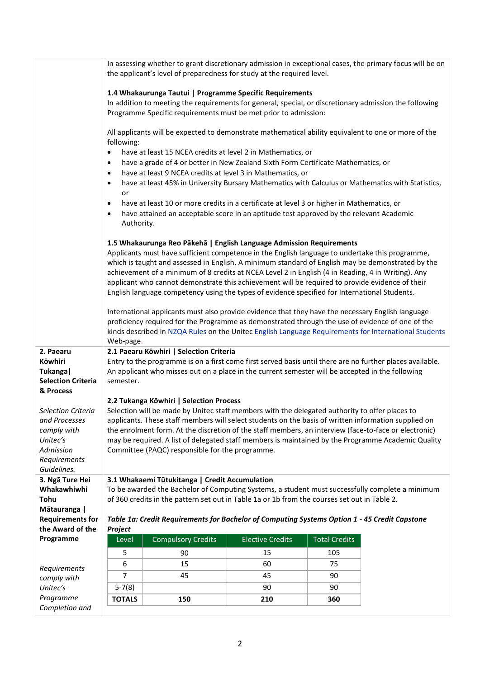|                                                                                                                   |                                                                                                                                                                                                                                                                                                                                                                                                                                                                          | the applicant's level of preparedness for study at the required level.                                                                                                                                                                                                                                                                                                                                                                                                                |                         |                      | In assessing whether to grant discretionary admission in exceptional cases, the primary focus will be on |  |  |
|-------------------------------------------------------------------------------------------------------------------|--------------------------------------------------------------------------------------------------------------------------------------------------------------------------------------------------------------------------------------------------------------------------------------------------------------------------------------------------------------------------------------------------------------------------------------------------------------------------|---------------------------------------------------------------------------------------------------------------------------------------------------------------------------------------------------------------------------------------------------------------------------------------------------------------------------------------------------------------------------------------------------------------------------------------------------------------------------------------|-------------------------|----------------------|----------------------------------------------------------------------------------------------------------|--|--|
|                                                                                                                   |                                                                                                                                                                                                                                                                                                                                                                                                                                                                          | 1.4 Whakaurunga Tautui   Programme Specific Requirements<br>In addition to meeting the requirements for general, special, or discretionary admission the following<br>Programme Specific requirements must be met prior to admission:                                                                                                                                                                                                                                                 |                         |                      |                                                                                                          |  |  |
|                                                                                                                   | following:                                                                                                                                                                                                                                                                                                                                                                                                                                                               | All applicants will be expected to demonstrate mathematical ability equivalent to one or more of the                                                                                                                                                                                                                                                                                                                                                                                  |                         |                      |                                                                                                          |  |  |
|                                                                                                                   | $\bullet$<br>$\bullet$<br>$\bullet$<br>$\bullet$                                                                                                                                                                                                                                                                                                                                                                                                                         | have at least 15 NCEA credits at level 2 in Mathematics, or<br>have a grade of 4 or better in New Zealand Sixth Form Certificate Mathematics, or<br>have at least 9 NCEA credits at level 3 in Mathematics, or<br>have at least 45% in University Bursary Mathematics with Calculus or Mathematics with Statistics,                                                                                                                                                                   |                         |                      |                                                                                                          |  |  |
|                                                                                                                   | or<br>$\bullet$<br>$\bullet$<br>Authority.                                                                                                                                                                                                                                                                                                                                                                                                                               | have at least 10 or more credits in a certificate at level 3 or higher in Mathematics, or<br>have attained an acceptable score in an aptitude test approved by the relevant Academic                                                                                                                                                                                                                                                                                                  |                         |                      |                                                                                                          |  |  |
|                                                                                                                   |                                                                                                                                                                                                                                                                                                                                                                                                                                                                          | 1.5 Whakaurunga Reo Pākehā   English Language Admission Requirements<br>Applicants must have sufficient competence in the English language to undertake this programme,<br>which is taught and assessed in English. A minimum standard of English may be demonstrated by the<br>achievement of a minimum of 8 credits at NCEA Level 2 in English (4 in Reading, 4 in Writing). Any<br>applicant who cannot demonstrate this achievement will be required to provide evidence of their |                         |                      |                                                                                                          |  |  |
|                                                                                                                   | English language competency using the types of evidence specified for International Students.<br>International applicants must also provide evidence that they have the necessary English language<br>proficiency required for the Programme as demonstrated through the use of evidence of one of the<br>kinds described in NZQA Rules on the Unitec English Language Requirements for International Students<br>Web-page.                                              |                                                                                                                                                                                                                                                                                                                                                                                                                                                                                       |                         |                      |                                                                                                          |  |  |
| 2. Paearu<br>Kōwhiri<br>Tukanga  <br><b>Selection Criteria</b><br>& Process                                       | 2.1 Paearu Kōwhiri   Selection Criteria<br>Entry to the programme is on a first come first served basis until there are no further places available.<br>An applicant who misses out on a place in the current semester will be accepted in the following<br>semester.                                                                                                                                                                                                    |                                                                                                                                                                                                                                                                                                                                                                                                                                                                                       |                         |                      |                                                                                                          |  |  |
|                                                                                                                   | 2.2 Tukanga Kōwhiri   Selection Process                                                                                                                                                                                                                                                                                                                                                                                                                                  |                                                                                                                                                                                                                                                                                                                                                                                                                                                                                       |                         |                      |                                                                                                          |  |  |
| <b>Selection Criteria</b><br>and Processes<br>comply with<br>Unitec's<br>Admission<br>Requirements<br>Guidelines. | Selection will be made by Unitec staff members with the delegated authority to offer places to<br>applicants. These staff members will select students on the basis of written information supplied on<br>the enrolment form. At the discretion of the staff members, an interview (face-to-face or electronic)<br>may be required. A list of delegated staff members is maintained by the Programme Academic Quality<br>Committee (PAQC) responsible for the programme. |                                                                                                                                                                                                                                                                                                                                                                                                                                                                                       |                         |                      |                                                                                                          |  |  |
| 3. Ngā Ture Hei<br>Whakawhiwhi<br>Tohu                                                                            |                                                                                                                                                                                                                                                                                                                                                                                                                                                                          | 3.1 Whakaemi Tūtukitanga   Credit Accumulation<br>To be awarded the Bachelor of Computing Systems, a student must successfully complete a minimum<br>of 360 credits in the pattern set out in Table 1a or 1b from the courses set out in Table 2.                                                                                                                                                                                                                                     |                         |                      |                                                                                                          |  |  |
| Mātauranga  <br><b>Requirements for</b><br>the Award of the                                                       | Project                                                                                                                                                                                                                                                                                                                                                                                                                                                                  | Table 1a: Credit Requirements for Bachelor of Computing Systems Option 1 - 45 Credit Capstone                                                                                                                                                                                                                                                                                                                                                                                         |                         |                      |                                                                                                          |  |  |
| Programme                                                                                                         | Level                                                                                                                                                                                                                                                                                                                                                                                                                                                                    | <b>Compulsory Credits</b>                                                                                                                                                                                                                                                                                                                                                                                                                                                             | <b>Elective Credits</b> | <b>Total Credits</b> |                                                                                                          |  |  |
|                                                                                                                   | 5                                                                                                                                                                                                                                                                                                                                                                                                                                                                        | 90                                                                                                                                                                                                                                                                                                                                                                                                                                                                                    | 15                      | 105                  |                                                                                                          |  |  |
|                                                                                                                   | 6                                                                                                                                                                                                                                                                                                                                                                                                                                                                        | 15                                                                                                                                                                                                                                                                                                                                                                                                                                                                                    | 60                      | 75                   |                                                                                                          |  |  |
| Requirements                                                                                                      | 7                                                                                                                                                                                                                                                                                                                                                                                                                                                                        | 45                                                                                                                                                                                                                                                                                                                                                                                                                                                                                    | 45                      | 90                   |                                                                                                          |  |  |
| comply with<br>Unitec's                                                                                           | $5-7(8)$                                                                                                                                                                                                                                                                                                                                                                                                                                                                 |                                                                                                                                                                                                                                                                                                                                                                                                                                                                                       | 90                      | 90                   |                                                                                                          |  |  |
| Programme                                                                                                         | <b>TOTALS</b>                                                                                                                                                                                                                                                                                                                                                                                                                                                            | 150                                                                                                                                                                                                                                                                                                                                                                                                                                                                                   | 210                     | 360                  |                                                                                                          |  |  |
| Completion and                                                                                                    |                                                                                                                                                                                                                                                                                                                                                                                                                                                                          |                                                                                                                                                                                                                                                                                                                                                                                                                                                                                       |                         |                      |                                                                                                          |  |  |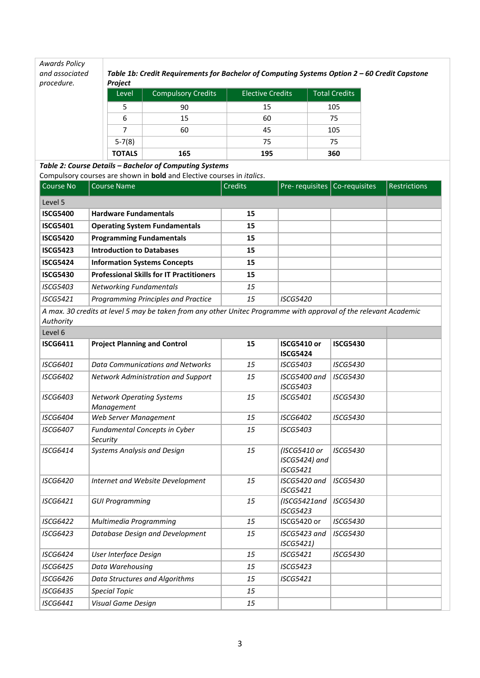| <b>Awards Policy</b><br>and associated<br>procedure. | <b>Project</b> | Table 1b: Credit Requirements for Bachelor of Computing Systems Option 2 - 60 Credit Capstone |                         |                      |
|------------------------------------------------------|----------------|-----------------------------------------------------------------------------------------------|-------------------------|----------------------|
|                                                      | Level          | <b>Compulsory Credits</b>                                                                     | <b>Elective Credits</b> | <b>Total Credits</b> |
|                                                      |                | 90                                                                                            | 15                      | 105                  |
|                                                      | 6              | 15                                                                                            | 60                      | 75                   |
|                                                      |                | 60                                                                                            | 45                      | 105                  |
|                                                      | $5 - 7(8)$     |                                                                                               | 75                      | 75                   |
|                                                      | <b>TOTALS</b>  | 165                                                                                           | 195                     | 360                  |

*Table 2: Course Details – Bachelor of Computing Systems*

Compulsory courses are shown in **bold** and Elective courses in *italics*.

| l Course No            | <b>Course Name</b>                              | <b>Credits</b> | Pre-requisites   Co-requisites | <b>Restrictions</b> |
|------------------------|-------------------------------------------------|----------------|--------------------------------|---------------------|
| Level 5                |                                                 |                |                                |                     |
| <b>ISCG5400</b>        | <b>Hardware Fundamentals</b>                    | 15             |                                |                     |
| <b>ISCG5401</b>        | <b>Operating System Fundamentals</b>            | 15             |                                |                     |
| <b>ISCG5420</b>        | <b>Programming Fundamentals</b>                 | 15             |                                |                     |
| <b>ISCG5423</b>        | <b>Introduction to Databases</b>                | 15             |                                |                     |
| <b>ISCG5424</b>        | <b>Information Systems Concepts</b>             | 15             |                                |                     |
| <b>ISCG5430</b>        | <b>Professional Skills for IT Practitioners</b> | 15             |                                |                     |
| <i><b>ISCG5403</b></i> | <b>Networking Fundamentals</b>                  | 15             |                                |                     |
| <b>ISCG5421</b>        | Programming Principles and Practice             | 15             | <b>ISCG5420</b>                |                     |

*A max. 30 credits at level 5 may be taken from any other Unitec Programme with approval of the relevant Academic Authority*

| Level 6         |                                                |    |                                                  |                 |  |
|-----------------|------------------------------------------------|----|--------------------------------------------------|-----------------|--|
| <b>ISCG6411</b> | <b>Project Planning and Control</b>            | 15 | <b>ISCG5410 or</b>                               | <b>ISCG5430</b> |  |
|                 |                                                |    | <b>ISCG5424</b>                                  |                 |  |
| <b>ISCG6401</b> | Data Communications and Networks               | 15 | <b>ISCG5403</b>                                  | <b>ISCG5430</b> |  |
| <b>ISCG6402</b> | <b>Network Administration and Support</b>      | 15 | ISCG5400 and<br><b>ISCG5403</b>                  | <b>ISCG5430</b> |  |
| <b>ISCG6403</b> | <b>Network Operating Systems</b><br>Management | 15 | <b>ISCG5401</b>                                  | <b>ISCG5430</b> |  |
| <b>ISCG6404</b> | Web Server Management                          | 15 | <b>ISCG6402</b>                                  | <b>ISCG5430</b> |  |
| <b>ISCG6407</b> | Fundamental Concepts in Cyber<br>Security      | 15 | <b>ISCG5403</b>                                  |                 |  |
| <b>ISCG6414</b> | <b>Systems Analysis and Design</b>             | 15 | (ISCG5410 or<br>ISCG5424) and<br><b>ISCG5421</b> | <b>ISCG5430</b> |  |
| <b>ISCG6420</b> | Internet and Website Development               | 15 | ISCG5420 and<br><b>ISCG5421</b>                  | <b>ISCG5430</b> |  |
| <b>ISCG6421</b> | <b>GUI Programming</b>                         | 15 | (ISCG5421and<br><b>ISCG5423</b>                  | <b>ISCG5430</b> |  |
| <b>ISCG6422</b> | Multimedia Programming                         | 15 | ISCG5420 or                                      | <b>ISCG5430</b> |  |
| <b>ISCG6423</b> | Database Design and Development                | 15 | ISCG5423 and<br>ISCG5421)                        | <b>ISCG5430</b> |  |
| <b>ISCG6424</b> | User Interface Design                          | 15 | <b>ISCG5421</b>                                  | <b>ISCG5430</b> |  |
| <b>ISCG6425</b> | Data Warehousing                               | 15 | <b>ISCG5423</b>                                  |                 |  |
| <b>ISCG6426</b> | Data Structures and Algorithms                 | 15 | <b>ISCG5421</b>                                  |                 |  |
| <b>ISCG6435</b> | <b>Special Topic</b>                           | 15 |                                                  |                 |  |
| <b>ISCG6441</b> | Visual Game Design                             | 15 |                                                  |                 |  |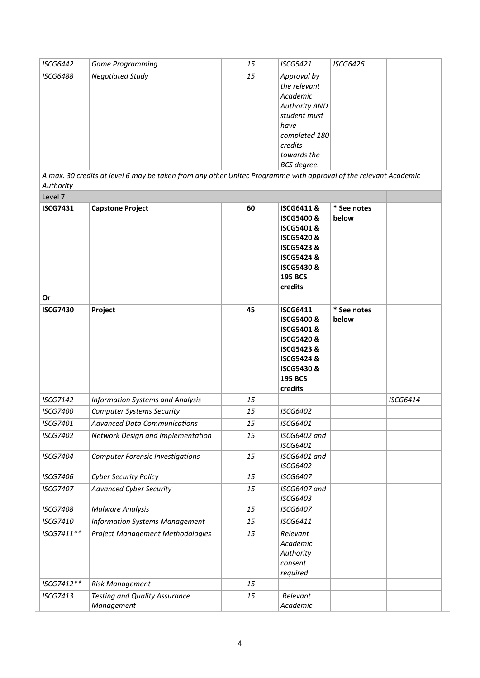| <b>ISCG6442</b>              | <b>Game Programming</b>                                                                                                                     | 15 | <b>ISCG5421</b>                                                                                                                                                                                      | <b>ISCG6426</b>      |                 |
|------------------------------|---------------------------------------------------------------------------------------------------------------------------------------------|----|------------------------------------------------------------------------------------------------------------------------------------------------------------------------------------------------------|----------------------|-----------------|
| <b>ISCG6488</b><br>Authority | <b>Negotiated Study</b><br>A max. 30 credits at level 6 may be taken from any other Unitec Programme with approval of the relevant Academic | 15 | Approval by<br>the relevant<br>Academic<br><b>Authority AND</b><br>student must<br>have<br>completed 180<br>credits<br>towards the<br>BCS degree.                                                    |                      |                 |
| Level 7                      |                                                                                                                                             |    |                                                                                                                                                                                                      |                      |                 |
| <b>ISCG7431</b>              | <b>Capstone Project</b>                                                                                                                     | 60 | <b>ISCG6411&amp;</b><br><b>ISCG5400&amp;</b><br><b>ISCG5401&amp;</b><br><b>ISCG5420&amp;</b><br><b>ISCG5423 &amp;</b><br><b>ISCG5424 &amp;</b><br><b>ISCG5430 &amp;</b><br><b>195 BCS</b><br>credits | * See notes<br>below |                 |
| Or                           |                                                                                                                                             |    |                                                                                                                                                                                                      |                      |                 |
| <b>ISCG7430</b>              | Project                                                                                                                                     | 45 | <b>ISCG6411</b><br><b>ISCG5400&amp;</b><br><b>ISCG5401&amp;</b><br><b>ISCG5420&amp;</b><br><b>ISCG5423 &amp;</b><br><b>ISCG5424 &amp;</b><br><b>ISCG5430 &amp;</b><br><b>195 BCS</b><br>credits      | * See notes<br>below |                 |
| <b>ISCG7142</b>              | Information Systems and Analysis                                                                                                            | 15 |                                                                                                                                                                                                      |                      | <b>ISCG6414</b> |
| <b>ISCG7400</b>              | <b>Computer Systems Security</b>                                                                                                            | 15 | <b>ISCG6402</b>                                                                                                                                                                                      |                      |                 |
| <b>ISCG7401</b>              | <b>Advanced Data Communications</b>                                                                                                         | 15 | <b>ISCG6401</b>                                                                                                                                                                                      |                      |                 |
| <b>ISCG7402</b>              | Network Design and Implementation                                                                                                           | 15 | ISCG6402 and<br>ISCG6401                                                                                                                                                                             |                      |                 |
| <b>ISCG7404</b>              | <b>Computer Forensic Investigations</b>                                                                                                     | 15 | ISCG6401 and<br><b>ISCG6402</b>                                                                                                                                                                      |                      |                 |
| <b>ISCG7406</b>              | <b>Cyber Security Policy</b>                                                                                                                | 15 | <b>ISCG6407</b>                                                                                                                                                                                      |                      |                 |
| <b>ISCG7407</b>              | <b>Advanced Cyber Security</b>                                                                                                              | 15 | ISCG6407 and<br><b>ISCG6403</b>                                                                                                                                                                      |                      |                 |
| <b>ISCG7408</b>              | <b>Malware Analysis</b>                                                                                                                     | 15 | <b>ISCG6407</b>                                                                                                                                                                                      |                      |                 |
| <b>ISCG7410</b>              | <b>Information Systems Management</b>                                                                                                       | 15 | <b>ISCG6411</b>                                                                                                                                                                                      |                      |                 |
| ISCG7411**                   | Project Management Methodologies                                                                                                            | 15 | Relevant<br>Academic<br>Authority<br>consent<br>required                                                                                                                                             |                      |                 |
| ISCG7412**                   | Risk Management                                                                                                                             | 15 |                                                                                                                                                                                                      |                      |                 |
| <b>ISCG7413</b>              | <b>Testing and Quality Assurance</b><br>Management                                                                                          | 15 | Relevant<br>Academic                                                                                                                                                                                 |                      |                 |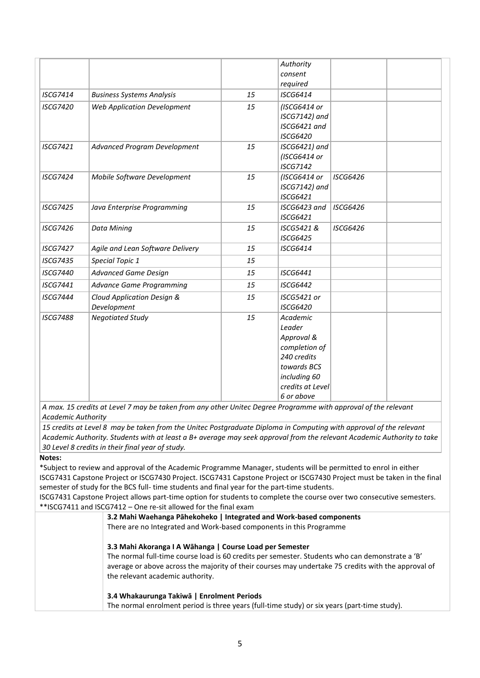|                 |                                     |    | Authority<br>consent             |                 |  |
|-----------------|-------------------------------------|----|----------------------------------|-----------------|--|
|                 |                                     |    | required                         |                 |  |
| <b>ISCG7414</b> | <b>Business Systems Analysis</b>    | 15 | <b>ISCG6414</b>                  |                 |  |
| <b>ISCG7420</b> | <b>Web Application Development</b>  | 15 | (ISCG6414 or                     |                 |  |
|                 |                                     |    | ISCG7142) and                    |                 |  |
|                 |                                     |    | ISCG6421 and                     |                 |  |
|                 |                                     |    | <b>ISCG6420</b>                  |                 |  |
| <b>ISCG7421</b> | <b>Advanced Program Development</b> | 15 | ISCG6421) and                    |                 |  |
|                 |                                     |    | (ISCG6414 or                     |                 |  |
|                 |                                     |    | <b>ISCG7142</b>                  |                 |  |
| <b>ISCG7424</b> | Mobile Software Development         | 15 | (ISCG6414 or                     | <b>ISCG6426</b> |  |
|                 |                                     |    | ISCG7142) and                    |                 |  |
|                 |                                     |    | <b>ISCG6421</b>                  |                 |  |
| <b>ISCG7425</b> | Java Enterprise Programming         | 15 | ISCG6423 and<br><b>ISCG6421</b>  | <b>ISCG6426</b> |  |
|                 |                                     |    |                                  |                 |  |
| <b>ISCG7426</b> | <b>Data Mining</b>                  | 15 | ISCG5421 &<br><b>ISCG6425</b>    | <b>ISCG6426</b> |  |
| <b>ISCG7427</b> | Agile and Lean Software Delivery    | 15 | <b>ISCG6414</b>                  |                 |  |
| <b>ISCG7435</b> |                                     | 15 |                                  |                 |  |
|                 | Special Topic 1                     |    |                                  |                 |  |
| <b>ISCG7440</b> | <b>Advanced Game Design</b>         | 15 | <b>ISCG6441</b>                  |                 |  |
| <b>ISCG7441</b> | <b>Advance Game Programming</b>     | 15 | <b>ISCG6442</b>                  |                 |  |
| <b>ISCG7444</b> | Cloud Application Design &          | 15 | ISCG5421 or                      |                 |  |
|                 | Development                         |    | <b>ISCG6420</b>                  |                 |  |
| <b>ISCG7488</b> | <b>Negotiated Study</b>             | 15 | Academic                         |                 |  |
|                 |                                     |    | Leader                           |                 |  |
|                 |                                     |    | Approval &                       |                 |  |
|                 |                                     |    | completion of                    |                 |  |
|                 |                                     |    | 240 credits                      |                 |  |
|                 |                                     |    | towards BCS                      |                 |  |
|                 |                                     |    | including 60<br>credits at Level |                 |  |
|                 |                                     |    | 6 or above                       |                 |  |
|                 |                                     |    |                                  |                 |  |

*A max. 15 credits at Level 7 may be taken from any other Unitec Degree Programme with approval of the relevant Academic Authority*

*15 credits at Level 8 may be taken from the Unitec Postgraduate Diploma in Computing with approval of the relevant Academic Authority. Students with at least a B+ average may seek approval from the relevant Academic Authority to take 30 Level 8 credits in their final year of study.*

## **Notes:**

\*Subject to review and approval of the Academic Programme Manager, students will be permitted to enrol in either ISCG7431 Capstone Project or ISCG7430 Project. ISCG7431 Capstone Project or ISCG7430 Project must be taken in the final semester of study for the BCS full- time students and final year for the part-time students.

ISCG7431 Capstone Project allows part-time option for students to complete the course over two consecutive semesters. \*\*ISCG7411 and ISCG7412 – One re-sit allowed for the final exam

| 3.2 Mahi Waehanga Pāhekoheko   Integrated and Work-based components                                 |
|-----------------------------------------------------------------------------------------------------|
| There are no Integrated and Work-based components in this Programme                                 |
| 3.3 Mahi Akoranga I A Wāhanga   Course Load per Semester                                            |
| The normal full-time course load is 60 credits per semester. Students who can demonstrate a 'B'     |
| average or above across the majority of their courses may undertake 75 credits with the approval of |
| the relevant academic authority.                                                                    |
| 3.4 Whakaurunga Takiwa   Enrolment Periods                                                          |
|                                                                                                     |

The normal enrolment period is three years (full-time study) or six years (part-time study).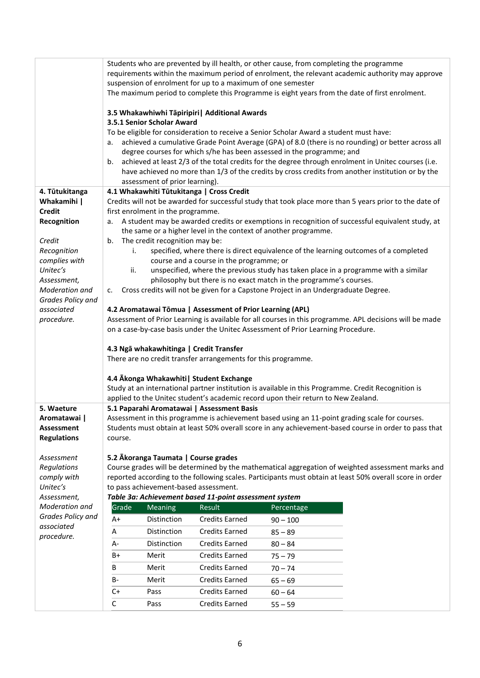|                          |             |                                       | suspension of enrolment for up to a maximum of one semester                                                                                          | Students who are prevented by ill health, or other cause, from completing the programme | requirements within the maximum period of enrolment, the relevant academic authority may approve<br>The maximum period to complete this Programme is eight years from the date of first enrolment. |
|--------------------------|-------------|---------------------------------------|------------------------------------------------------------------------------------------------------------------------------------------------------|-----------------------------------------------------------------------------------------|----------------------------------------------------------------------------------------------------------------------------------------------------------------------------------------------------|
|                          |             |                                       | 3.5 Whakawhiwhi Tāpiripiri   Additional Awards                                                                                                       |                                                                                         |                                                                                                                                                                                                    |
|                          |             | 3.5.1 Senior Scholar Award            |                                                                                                                                                      |                                                                                         |                                                                                                                                                                                                    |
|                          |             |                                       |                                                                                                                                                      | To be eligible for consideration to receive a Senior Scholar Award a student must have: | achieved a cumulative Grade Point Average (GPA) of 8.0 (there is no rounding) or better across all                                                                                                 |
|                          | а.          |                                       |                                                                                                                                                      | degree courses for which s/he has been assessed in the programme; and                   |                                                                                                                                                                                                    |
|                          | b.          |                                       |                                                                                                                                                      |                                                                                         | achieved at least 2/3 of the total credits for the degree through enrolment in Unitec courses (i.e.                                                                                                |
|                          |             |                                       |                                                                                                                                                      |                                                                                         | have achieved no more than 1/3 of the credits by cross credits from another institution or by the                                                                                                  |
| 4. Tūtukitanga           |             | assessment of prior learning).        | 4.1 Whakawhiti Tūtukitanga   Cross Credit                                                                                                            |                                                                                         |                                                                                                                                                                                                    |
| Whakamihi                |             |                                       |                                                                                                                                                      |                                                                                         | Credits will not be awarded for successful study that took place more than 5 years prior to the date of                                                                                            |
| <b>Credit</b>            |             | first enrolment in the programme.     |                                                                                                                                                      |                                                                                         |                                                                                                                                                                                                    |
| Recognition              | а.          |                                       |                                                                                                                                                      | the same or a higher level in the context of another programme.                         | A student may be awarded credits or exemptions in recognition of successful equivalent study, at                                                                                                   |
| Credit                   | b.          | The credit recognition may be:        |                                                                                                                                                      |                                                                                         |                                                                                                                                                                                                    |
| Recognition              | i.          |                                       |                                                                                                                                                      |                                                                                         | specified, where there is direct equivalence of the learning outcomes of a completed                                                                                                               |
| complies with            |             |                                       | course and a course in the programme; or                                                                                                             |                                                                                         |                                                                                                                                                                                                    |
| Unitec's<br>Assessment,  | ii.         |                                       |                                                                                                                                                      | philosophy but there is no exact match in the programme's courses.                      | unspecified, where the previous study has taken place in a programme with a similar                                                                                                                |
| Moderation and           | c.          |                                       |                                                                                                                                                      | Cross credits will not be given for a Capstone Project in an Undergraduate Degree.      |                                                                                                                                                                                                    |
| Grades Policy and        |             |                                       |                                                                                                                                                      |                                                                                         |                                                                                                                                                                                                    |
| associated               |             |                                       | 4.2 Aromatawai Tōmua   Assessment of Prior Learning (APL)                                                                                            |                                                                                         | Assessment of Prior Learning is available for all courses in this programme. APL decisions will be made                                                                                            |
| procedure.               |             |                                       |                                                                                                                                                      | on a case-by-case basis under the Unitec Assessment of Prior Learning Procedure.        |                                                                                                                                                                                                    |
|                          |             |                                       | 4.3 Ngā whakawhitinga   Credit Transfer<br>There are no credit transfer arrangements for this programme.<br>4.4 Akonga Whakawhiti   Student Exchange |                                                                                         | Study at an international partner institution is available in this Programme. Credit Recognition is                                                                                                |
| 5. Waeture               |             |                                       | 5.1 Paparahi Aromatawai   Assessment Basis                                                                                                           | applied to the Unitec student's academic record upon their return to New Zealand.       |                                                                                                                                                                                                    |
| Aromatawai               |             |                                       |                                                                                                                                                      |                                                                                         | Assessment in this programme is achievement based using an 11-point grading scale for courses.                                                                                                     |
| Assessment               |             |                                       |                                                                                                                                                      |                                                                                         | Students must obtain at least 50% overall score in any achievement-based course in order to pass that                                                                                              |
| <b>Regulations</b>       | course.     |                                       |                                                                                                                                                      |                                                                                         |                                                                                                                                                                                                    |
| Assessment               |             | 5.2 Ākoranga Taumata   Course grades  |                                                                                                                                                      |                                                                                         |                                                                                                                                                                                                    |
| Regulations              |             |                                       |                                                                                                                                                      |                                                                                         | Course grades will be determined by the mathematical aggregation of weighted assessment marks and                                                                                                  |
| comply with<br>Unitec's  |             | to pass achievement-based assessment. |                                                                                                                                                      |                                                                                         | reported according to the following scales. Participants must obtain at least 50% overall score in order                                                                                           |
| Assessment,              |             |                                       | Table 3a: Achievement based 11-point assessment system                                                                                               |                                                                                         |                                                                                                                                                                                                    |
| Moderation and           | Grade       | <b>Meaning</b>                        | Result                                                                                                                                               | Percentage                                                                              |                                                                                                                                                                                                    |
| Grades Policy and        | A+          | Distinction                           | <b>Credits Earned</b>                                                                                                                                | $90 - 100$                                                                              |                                                                                                                                                                                                    |
| associated<br>procedure. | Α           | Distinction                           | <b>Credits Earned</b>                                                                                                                                | $85 - 89$                                                                               |                                                                                                                                                                                                    |
|                          | А-          | Distinction                           | <b>Credits Earned</b>                                                                                                                                | $80 - 84$                                                                               |                                                                                                                                                                                                    |
|                          | B+          | Merit                                 | <b>Credits Earned</b>                                                                                                                                | $75 - 79$                                                                               |                                                                                                                                                                                                    |
|                          | B           | Merit                                 | <b>Credits Earned</b>                                                                                                                                | $70 - 74$                                                                               |                                                                                                                                                                                                    |
|                          | B-          | Merit                                 | <b>Credits Earned</b>                                                                                                                                | $65 - 69$                                                                               |                                                                                                                                                                                                    |
|                          | C+          | Pass                                  | <b>Credits Earned</b>                                                                                                                                | $60 - 64$                                                                               |                                                                                                                                                                                                    |
|                          | $\mathsf C$ | Pass                                  | <b>Credits Earned</b>                                                                                                                                | $55 - 59$                                                                               |                                                                                                                                                                                                    |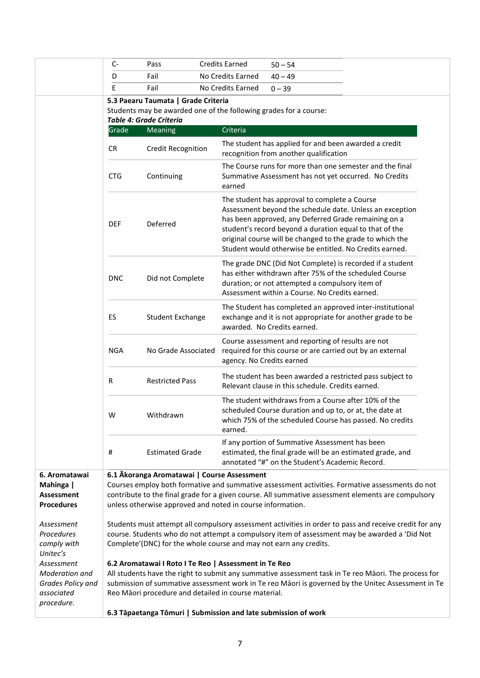|                                                                 | C-         | Pass                                                                                                          | <b>Credits Earned</b><br>$50 - 54$                                                                                                                                                                                                                                                                                                                   |
|-----------------------------------------------------------------|------------|---------------------------------------------------------------------------------------------------------------|------------------------------------------------------------------------------------------------------------------------------------------------------------------------------------------------------------------------------------------------------------------------------------------------------------------------------------------------------|
|                                                                 | D          | Fail                                                                                                          | No Credits Earned<br>$40 - 49$                                                                                                                                                                                                                                                                                                                       |
|                                                                 | E          | Fail                                                                                                          | No Credits Earned<br>$0 - 39$                                                                                                                                                                                                                                                                                                                        |
|                                                                 |            | 5.3 Paearu Taumata   Grade Criteria                                                                           |                                                                                                                                                                                                                                                                                                                                                      |
|                                                                 |            |                                                                                                               | Students may be awarded one of the following grades for a course:                                                                                                                                                                                                                                                                                    |
|                                                                 |            | <b>Table 4: Grade Criteria</b>                                                                                |                                                                                                                                                                                                                                                                                                                                                      |
|                                                                 | Grade      | Meaning                                                                                                       | Criteria                                                                                                                                                                                                                                                                                                                                             |
|                                                                 | <b>CR</b>  | <b>Credit Recognition</b>                                                                                     | The student has applied for and been awarded a credit<br>recognition from another qualification                                                                                                                                                                                                                                                      |
|                                                                 | <b>CTG</b> | Continuing                                                                                                    | The Course runs for more than one semester and the final<br>Summative Assessment has not yet occurred. No Credits<br>earned                                                                                                                                                                                                                          |
|                                                                 | <b>DEF</b> | Deferred                                                                                                      | The student has approval to complete a Course<br>Assessment beyond the schedule date. Unless an exception<br>has been approved, any Deferred Grade remaining on a<br>student's record beyond a duration equal to that of the<br>original course will be changed to the grade to which the<br>Student would otherwise be entitled. No Credits earned. |
|                                                                 | <b>DNC</b> | Did not Complete                                                                                              | The grade DNC (Did Not Complete) is recorded if a student<br>has either withdrawn after 75% of the scheduled Course<br>duration; or not attempted a compulsory item of<br>Assessment within a Course. No Credits earned.                                                                                                                             |
|                                                                 | ES         | <b>Student Exchange</b>                                                                                       | The Student has completed an approved inter-institutional<br>exchange and it is not appropriate for another grade to be<br>awarded. No Credits earned.                                                                                                                                                                                               |
|                                                                 | <b>NGA</b> | No Grade Associated                                                                                           | Course assessment and reporting of results are not<br>required for this course or are carried out by an external<br>agency. No Credits earned                                                                                                                                                                                                        |
|                                                                 | R          | <b>Restricted Pass</b>                                                                                        | The student has been awarded a restricted pass subject to<br>Relevant clause in this schedule. Credits earned.                                                                                                                                                                                                                                       |
|                                                                 | W          | Withdrawn                                                                                                     | The student withdraws from a Course after 10% of the<br>scheduled Course duration and up to, or at, the date at<br>which 75% of the scheduled Course has passed. No credits<br>earned.                                                                                                                                                               |
|                                                                 | #          | <b>Estimated Grade</b>                                                                                        | If any portion of Summative Assessment has been<br>estimated, the final grade will be an estimated grade, and<br>annotated "#" on the Student's Academic Record.                                                                                                                                                                                     |
| 6. Aromatawai                                                   |            | 6.1 Akoranga Aromatawai   Course Assessment                                                                   |                                                                                                                                                                                                                                                                                                                                                      |
| Mahinga  <br><b>Assessment</b><br><b>Procedures</b>             |            |                                                                                                               | Courses employ both formative and summative assessment activities. Formative assessments do not<br>contribute to the final grade for a given course. All summative assessment elements are compulsory<br>unless otherwise approved and noted in course information.                                                                                  |
| Assessment<br>Procedures<br>comply with<br>Unitec's             |            |                                                                                                               | Students must attempt all compulsory assessment activities in order to pass and receive credit for any<br>course. Students who do not attempt a compulsory item of assessment may be awarded a 'Did Not<br>Complete'(DNC) for the whole course and may not earn any credits.                                                                         |
| Assessment<br>Moderation and<br>Grades Policy and<br>associated |            | 6.2 Aromatawai I Roto I Te Reo   Assessment in Te Reo<br>Reo Māori procedure and detailed in course material. | All students have the right to submit any summative assessment task in Te reo Māori. The process for<br>submission of summative assessment work in Te reo Māori is governed by the Unitec Assessment in Te                                                                                                                                           |
| procedure.                                                      |            |                                                                                                               | 6.3 Tāpaetanga Tōmuri   Submission and late submission of work                                                                                                                                                                                                                                                                                       |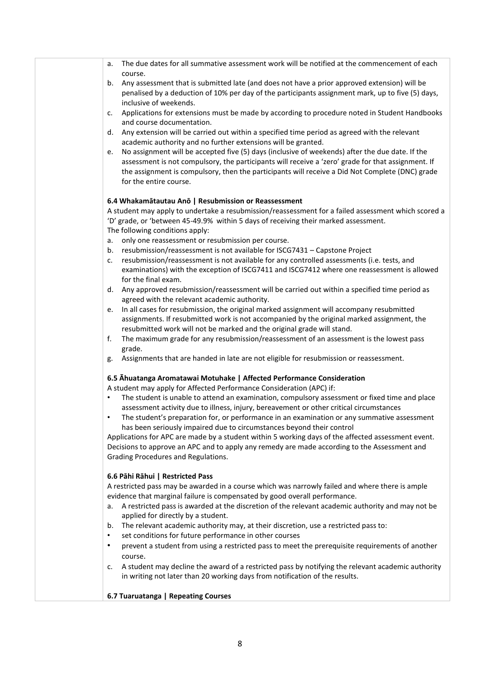- a. The due dates for all summative assessment work will be notified at the commencement of each course.
- b. Any assessment that is submitted late (and does not have a prior approved extension) will be penalised by a deduction of 10% per day of the participants assignment mark, up to five (5) days, inclusive of weekends.
- c. Applications for extensions must be made by according to procedure noted in Student Handbooks and course documentation.
- d. Any extension will be carried out within a specified time period as agreed with the relevant academic authority and no further extensions will be granted.
- e. No assignment will be accepted five (5) days (inclusive of weekends) after the due date. If the assessment is not compulsory, the participants will receive a 'zero' grade for that assignment. If the assignment is compulsory, then the participants will receive a Did Not Complete (DNC) grade for the entire course.

### **6.4 Whakamātautau Anō | Resubmission or Reassessment**

A student may apply to undertake a resubmission/reassessment for a failed assessment which scored a 'D' grade, or 'between 45-49.9% within 5 days of receiving their marked assessment.

The following conditions apply:

- a. only one reassessment or resubmission per course.
- b. resubmission/reassessment is not available for ISCG7431 Capstone Project
- c. resubmission/reassessment is not available for any controlled assessments (i.e. tests, and examinations) with the exception of ISCG7411 and ISCG7412 where one reassessment is allowed for the final exam.
- d. Any approved resubmission/reassessment will be carried out within a specified time period as agreed with the relevant academic authority.
- e. In all cases for resubmission, the original marked assignment will accompany resubmitted assignments. If resubmitted work is not accompanied by the original marked assignment, the resubmitted work will not be marked and the original grade will stand.
- f. The maximum grade for any resubmission/reassessment of an assessment is the lowest pass grade.
- g. Assignments that are handed in late are not eligible for resubmission or reassessment.

#### **6.5 Āhuatanga Aromatawai Motuhake | Affected Performance Consideration**

A student may apply for Affected Performance Consideration (APC) if:

- The student is unable to attend an examination, compulsory assessment or fixed time and place assessment activity due to illness, injury, bereavement or other critical circumstances
- The student's preparation for, or performance in an examination or any summative assessment has been seriously impaired due to circumstances beyond their control

Applications for APC are made by a student within 5 working days of the affected assessment event. Decisions to approve an APC and to apply any remedy are made according to the Assessment and Grading Procedures and Regulations.

#### **6.6 Pāhi Rāhui | Restricted Pass**

A restricted pass may be awarded in a course which was narrowly failed and where there is ample evidence that marginal failure is compensated by good overall performance.

- a. A restricted pass is awarded at the discretion of the relevant academic authority and may not be applied for directly by a student.
- b. The relevant academic authority may, at their discretion, use a restricted pass to:
- set conditions for future performance in other courses
- prevent a student from using a restricted pass to meet the prerequisite requirements of another course.
- c. A student may decline the award of a restricted pass by notifying the relevant academic authority in writing not later than 20 working days from notification of the results.

#### **6.7 Tuaruatanga | Repeating Courses**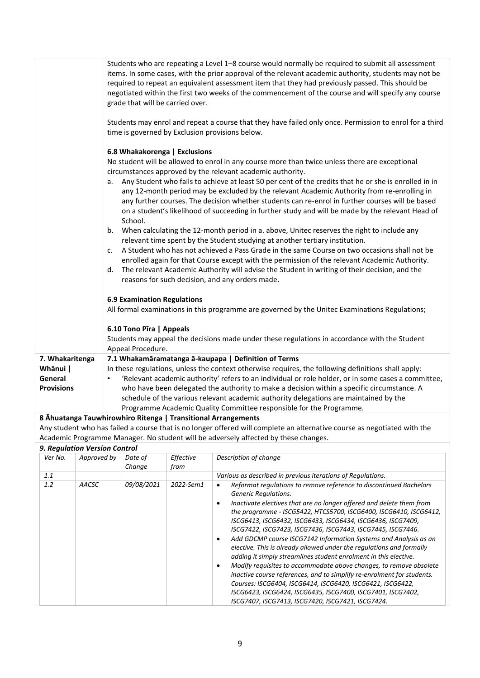|                   | Students who are repeating a Level 1-8 course would normally be required to submit all assessment<br>items. In some cases, with the prior approval of the relevant academic authority, students may not be<br>required to repeat an equivalent assessment item that they had previously passed. This should be<br>negotiated within the first two weeks of the commencement of the course and will specify any course<br>grade that will be carried over. |
|-------------------|-----------------------------------------------------------------------------------------------------------------------------------------------------------------------------------------------------------------------------------------------------------------------------------------------------------------------------------------------------------------------------------------------------------------------------------------------------------|
|                   | Students may enrol and repeat a course that they have failed only once. Permission to enrol for a third<br>time is governed by Exclusion provisions below.                                                                                                                                                                                                                                                                                                |
|                   | 6.8 Whakakorenga   Exclusions                                                                                                                                                                                                                                                                                                                                                                                                                             |
|                   | No student will be allowed to enrol in any course more than twice unless there are exceptional<br>circumstances approved by the relevant academic authority.                                                                                                                                                                                                                                                                                              |
|                   | Any Student who fails to achieve at least 50 per cent of the credits that he or she is enrolled in in<br>a.<br>any 12-month period may be excluded by the relevant Academic Authority from re-enrolling in<br>any further courses. The decision whether students can re-enrol in further courses will be based<br>on a student's likelihood of succeeding in further study and will be made by the relevant Head of<br>School.                            |
|                   | When calculating the 12-month period in a. above, Unitec reserves the right to include any<br>b.                                                                                                                                                                                                                                                                                                                                                          |
|                   | relevant time spent by the Student studying at another tertiary institution.<br>A Student who has not achieved a Pass Grade in the same Course on two occasions shall not be<br>c.<br>enrolled again for that Course except with the permission of the relevant Academic Authority.<br>The relevant Academic Authority will advise the Student in writing of their decision, and the<br>d.<br>reasons for such decision, and any orders made.             |
|                   | <b>6.9 Examination Regulations</b>                                                                                                                                                                                                                                                                                                                                                                                                                        |
|                   | All formal examinations in this programme are governed by the Unitec Examinations Regulations;                                                                                                                                                                                                                                                                                                                                                            |
|                   | 6.10 Tono Pīra   Appeals                                                                                                                                                                                                                                                                                                                                                                                                                                  |
|                   | Students may appeal the decisions made under these regulations in accordance with the Student<br>Appeal Procedure.                                                                                                                                                                                                                                                                                                                                        |
| 7. Whakaritenga   | 7.1 Whakamāramatanga ā-kaupapa   Definition of Terms                                                                                                                                                                                                                                                                                                                                                                                                      |
| Whānui            | In these regulations, unless the context otherwise requires, the following definitions shall apply:                                                                                                                                                                                                                                                                                                                                                       |
| General           | 'Relevant academic authority' refers to an individual or role holder, or in some cases a committee,                                                                                                                                                                                                                                                                                                                                                       |
| <b>Provisions</b> | who have been delegated the authority to make a decision within a specific circumstance. A<br>schedule of the various relevant academic authority delegations are maintained by the                                                                                                                                                                                                                                                                       |
|                   | Programme Academic Quality Committee responsible for the Programme.                                                                                                                                                                                                                                                                                                                                                                                       |
|                   | 8 Ahuatanga Tauwhirowhiro Ritenga   Transitional Arrangements<br>Any student who has failed a course that is no longer offered will complete an alternative course as negotiated with the                                                                                                                                                                                                                                                                 |
|                   |                                                                                                                                                                                                                                                                                                                                                                                                                                                           |

Academic Programme Manager. No student will be adversely affected by these changes.

### *9. Regulation Version Control*

| Ver No. | Approved by | Date of<br>Change | Effective<br>from | Description of change                                                                                                                                                                                                                                                                                                                                                                                                                                                                                                                                                                                                                                                                                                                                                                                                                                                                                                                    |
|---------|-------------|-------------------|-------------------|------------------------------------------------------------------------------------------------------------------------------------------------------------------------------------------------------------------------------------------------------------------------------------------------------------------------------------------------------------------------------------------------------------------------------------------------------------------------------------------------------------------------------------------------------------------------------------------------------------------------------------------------------------------------------------------------------------------------------------------------------------------------------------------------------------------------------------------------------------------------------------------------------------------------------------------|
| 1.1     |             |                   |                   | Various as described in previous iterations of Regulations.                                                                                                                                                                                                                                                                                                                                                                                                                                                                                                                                                                                                                                                                                                                                                                                                                                                                              |
| 1.2     | AACSC       | 09/08/2021        | 2022-Sem1         | Reformat regulations to remove reference to discontinued Bachelors<br><b>Generic Regulations.</b><br>Inactivate electives that are no longer offered and delete them from<br>the programme - ISCG5422, HTCS5700, ISCG6400, ISCG6410, ISCG6412,<br>ISCG6413, ISCG6432, ISCG6433, ISCG6434, ISCG6436, ISCG7409,<br>ISCG7422, ISCG7423, ISCG7436, ISCG7443, ISCG7445, ISCG7446.<br>Add GDCMP course ISCG7142 Information Systems and Analysis as an<br>٠<br>elective. This is already allowed under the regulations and formally<br>adding it simply streamlines student enrolment in this elective.<br>Modify requisites to accommodate above changes, to remove obsolete<br>٠<br>inactive course references, and to simplify re-enrolment for students.<br>Courses: ISCG6404, ISCG6414, ISCG6420, ISCG6421, ISCG6422,<br>ISCG6423, ISCG6424, ISCG6435, ISCG7400, ISCG7401, ISCG7402,<br>ISCG7407, ISCG7413, ISCG7420, ISCG7421, ISCG7424. |